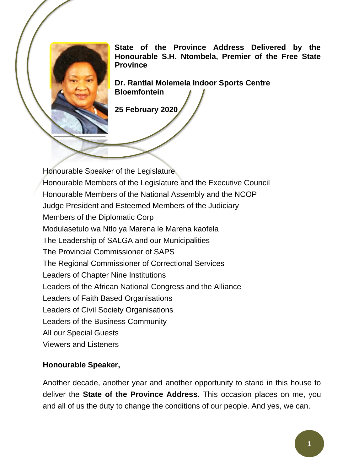**State of the Province Address Delivered by the Honourable S.H. Ntombela, Premier of the Free State Province** 

**Dr. Rantlai Molemela Indoor Sports Centre Bloemfontein**

**25 February 2020**

Honourable Speaker of the Legislature Honourable Members of the Legislature and the Executive Council Honourable Members of the National Assembly and the NCOP Judge President and Esteemed Members of the Judiciary Members of the Diplomatic Corp Modulasetulo wa Ntlo ya Marena le Marena kaofela The Leadership of SALGA and our Municipalities The Provincial Commissioner of SAPS The Regional Commissioner of Correctional Services Leaders of Chapter Nine Institutions Leaders of the African National Congress and the Alliance Leaders of Faith Based Organisations Leaders of Civil Society Organisations Leaders of the Business Community All our Special Guests Viewers and Listeners

## **Honourable Speaker,**

Another decade, another year and another opportunity to stand in this house to deliver the **State of the Province Address**. This occasion places on me, you and all of us the duty to change the conditions of our people. And yes, we can.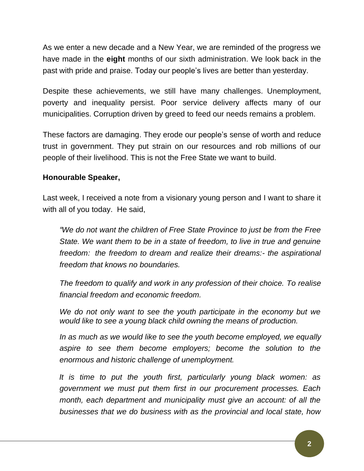As we enter a new decade and a New Year, we are reminded of the progress we have made in the **eight** months of our sixth administration. We look back in the past with pride and praise. Today our people's lives are better than yesterday.

Despite these achievements, we still have many challenges. Unemployment, poverty and inequality persist. Poor service delivery affects many of our municipalities. Corruption driven by greed to feed our needs remains a problem.

These factors are damaging. They erode our people's sense of worth and reduce trust in government. They put strain on our resources and rob millions of our people of their livelihood. This is not the Free State we want to build.

# **Honourable Speaker,**

Last week, I received a note from a visionary young person and I want to share it with all of you today. He said,

*"We do not want the children of Free State Province to just be from the Free State. We want them to be in a state of freedom, to live in true and genuine freedom: the freedom to dream and realize their dreams:- the aspirational freedom that knows no boundaries.*

*The freedom to qualify and work in any profession of their choice. To realise financial freedom and economic freedom.* 

*We do not only want to see the youth participate in the economy but we would like to see a young black child owning the means of production.* 

*In as much as we would like to see the youth become employed, we equally aspire to see them become employers; become the solution to the enormous and historic challenge of unemployment.* 

*It is time to put the youth first, particularly young black women: as government we must put them first in our procurement processes. Each month, each department and municipality must give an account: of all the businesses that we do business with as the provincial and local state, how*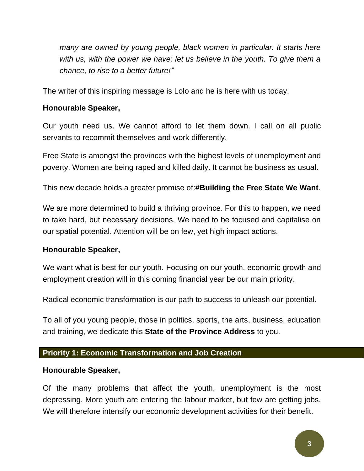*many are owned by young people, black women in particular. It starts here*  with us, with the power we have; let us believe in the youth. To give them a *chance, to rise to a better future!"*

The writer of this inspiring message is Lolo and he is here with us today.

# **Honourable Speaker,**

Our youth need us. We cannot afford to let them down. I call on all public servants to recommit themselves and work differently.

Free State is amongst the provinces with the highest levels of unemployment and poverty. Women are being raped and killed daily. It cannot be business as usual.

This new decade holds a greater promise of:**#Building the Free State We Want**.

We are more determined to build a thriving province. For this to happen, we need to take hard, but necessary decisions. We need to be focused and capitalise on our spatial potential. Attention will be on few, yet high impact actions.

## **Honourable Speaker,**

We want what is best for our youth. Focusing on our youth, economic growth and employment creation will in this coming financial year be our main priority.

Radical economic transformation is our path to success to unleash our potential.

To all of you young people, those in politics, sports, the arts, business, education and training, we dedicate this **State of the Province Address** to you.

## **Priority 1: Economic Transformation and Job Creation**

## **Honourable Speaker,**

Of the many problems that affect the youth, unemployment is the most depressing. More youth are entering the labour market, but few are getting jobs. We will therefore intensify our economic development activities for their benefit.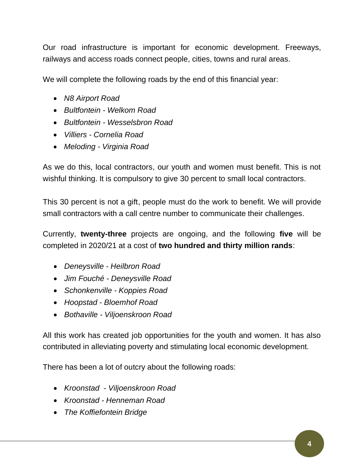Our road infrastructure is important for economic development. Freeways, railways and access roads connect people, cities, towns and rural areas.

We will complete the following roads by the end of this financial year:

- *N8 Airport Road*
- *Bultfontein - Welkom Road*
- *Bultfontein - Wesselsbron Road*
- *Villiers - Cornelia Road*
- *Meloding - Virginia Road*

As we do this, local contractors, our youth and women must benefit. This is not wishful thinking. It is compulsory to give 30 percent to small local contractors.

This 30 percent is not a gift, people must do the work to benefit. We will provide small contractors with a call centre number to communicate their challenges.

Currently, **twenty-three** projects are ongoing, and the following **five** will be completed in 2020/21 at a cost of **two hundred and thirty million rands**:

- *Deneysville - Heilbron Road*
- *Jim Fouché - Deneysville Road*
- *Schonkenville - Koppies Road*
- *Hoopstad - Bloemhof Road*
- *Bothaville - Viljoenskroon Road*

All this work has created job opportunities for the youth and women. It has also contributed in alleviating poverty and stimulating local economic development.

There has been a lot of outcry about the following roads:

- *Kroonstad - Viljoenskroon Road*
- *Kroonstad - Henneman Road*
- *The Koffiefontein Bridge*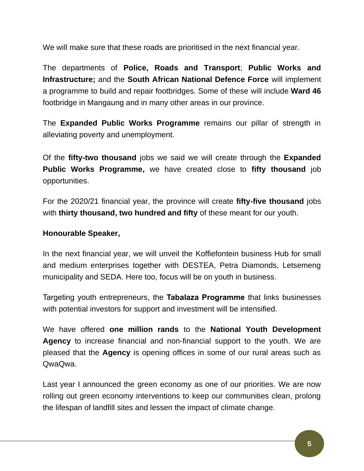We will make sure that these roads are prioritised in the next financial year.

The departments of **Police, Roads and Transport**; **Public Works and Infrastructure;** and the **South African National Defence Force** will implement a programme to build and repair footbridges. Some of these will include **Ward 46** footbridge in Mangaung and in many other areas in our province.

The **Expanded Public Works Programme** remains our pillar of strength in alleviating poverty and unemployment.

Of the **fifty-two thousand** jobs we said we will create through the **Expanded Public Works Programme,** we have created close to **fifty thousand** job opportunities.

For the 2020/21 financial year, the province will create **fifty-five thousand** jobs with **thirty thousand, two hundred and fifty** of these meant for our youth.

# **Honourable Speaker,**

In the next financial year, we will unveil the Koffiefontein business Hub for small and medium enterprises together with DESTEA, Petra Diamonds, Letsemeng municipality and SEDA. Here too, focus will be on youth in business.

Targeting youth entrepreneurs, the **Tabalaza Programme** that links businesses with potential investors for support and investment will be intensified.

We have offered **one million rands** to the **National Youth Development Agency** to increase financial and non-financial support to the youth. We are pleased that the **Agency** is opening offices in some of our rural areas such as QwaQwa.

Last year I announced the green economy as one of our priorities. We are now rolling out green economy interventions to keep our communities clean, prolong the lifespan of landfill sites and lessen the impact of climate change.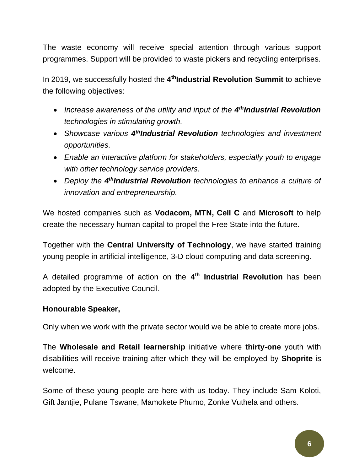The waste economy will receive special attention through various support programmes. Support will be provided to waste pickers and recycling enterprises.

In 2019, we successfully hosted the **4 thIndustrial Revolution Summit** to achieve the following objectives:

- Increase awareness of the utility and input of the 4<sup>th</sup>**Industrial Revolution** *technologies in stimulating growth.*
- **•** Showcase various 4<sup>th</sup>Industrial Revolution technologies and investment *opportunities.*
- *Enable an interactive platform for stakeholders, especially youth to engage with other technology service providers.*
- Deploy the 4<sup>th</sup>**Industrial Revolution** technologies to enhance a culture of *innovation and entrepreneurship.*

We hosted companies such as **Vodacom, MTN, Cell C** and **Microsoft** to help create the necessary human capital to propel the Free State into the future.

Together with the **Central University of Technology**, we have started training young people in artificial intelligence, 3-D cloud computing and data screening.

A detailed programme of action on the **4 th Industrial Revolution** has been adopted by the Executive Council.

# **Honourable Speaker,**

Only when we work with the private sector would we be able to create more jobs.

The **Wholesale and Retail learnership** initiative where **thirty-one** youth with disabilities will receive training after which they will be employed by **Shoprite** is welcome.

Some of these young people are here with us today. They include Sam Koloti, Gift Jantjie, Pulane Tswane, Mamokete Phumo, Zonke Vuthela and others.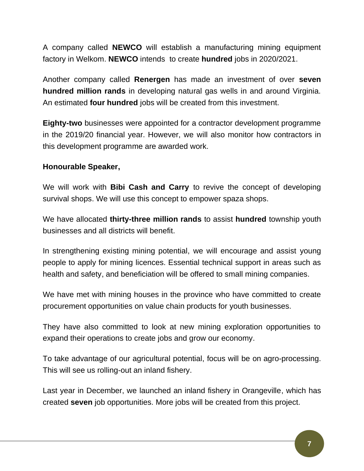A company called **NEWCO** will establish a manufacturing mining equipment factory in Welkom. **NEWCO** intends to create **hundred** jobs in 2020/2021.

Another company called **Renergen** has made an investment of over **seven hundred million rands** in developing natural gas wells in and around Virginia. An estimated **four hundred** jobs will be created from this investment.

**Eighty-two** businesses were appointed for a contractor development programme in the 2019/20 financial year. However, we will also monitor how contractors in this development programme are awarded work.

# **Honourable Speaker,**

We will work with **Bibi Cash and Carry** to revive the concept of developing survival shops. We will use this concept to empower spaza shops.

We have allocated **thirty-three million rands** to assist **hundred** township youth businesses and all districts will benefit.

In strengthening existing mining potential, we will encourage and assist young people to apply for mining licences. Essential technical support in areas such as health and safety, and beneficiation will be offered to small mining companies.

We have met with mining houses in the province who have committed to create procurement opportunities on value chain products for youth businesses.

They have also committed to look at new mining exploration opportunities to expand their operations to create jobs and grow our economy.

To take advantage of our agricultural potential, focus will be on agro-processing. This will see us rolling-out an inland fishery.

Last year in December, we launched an inland fishery in Orangeville, which has created **seven** job opportunities. More jobs will be created from this project.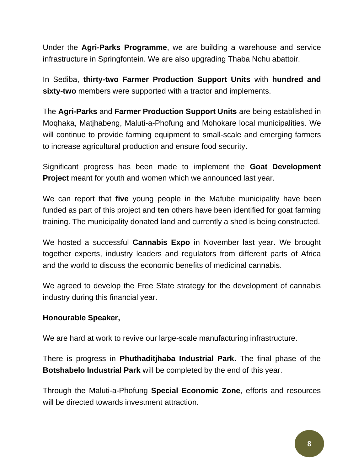Under the **Agri-Parks Programme**, we are building a warehouse and service infrastructure in Springfontein. We are also upgrading Thaba Nchu abattoir.

In Sediba, **thirty-two Farmer Production Support Units** with **hundred and sixty-two** members were supported with a tractor and implements.

The **Agri-Parks** and **Farmer Production Support Units** are being established in Moqhaka, Matjhabeng, Maluti-a-Phofung and Mohokare local municipalities. We will continue to provide farming equipment to small-scale and emerging farmers to increase agricultural production and ensure food security.

Significant progress has been made to implement the **Goat Development Project** meant for youth and women which we announced last year.

We can report that **five** young people in the Mafube municipality have been funded as part of this project and **ten** others have been identified for goat farming training. The municipality donated land and currently a shed is being constructed.

We hosted a successful **Cannabis Expo** in November last year. We brought together experts, industry leaders and regulators from different parts of Africa and the world to discuss the economic benefits of medicinal cannabis.

We agreed to develop the Free State strategy for the development of cannabis industry during this financial year.

## **Honourable Speaker,**

We are hard at work to revive our large-scale manufacturing infrastructure.

There is progress in **Phuthaditjhaba Industrial Park.** The final phase of the **Botshabelo Industrial Park** will be completed by the end of this year.

Through the Maluti-a-Phofung **Special Economic Zone**, efforts and resources will be directed towards investment attraction.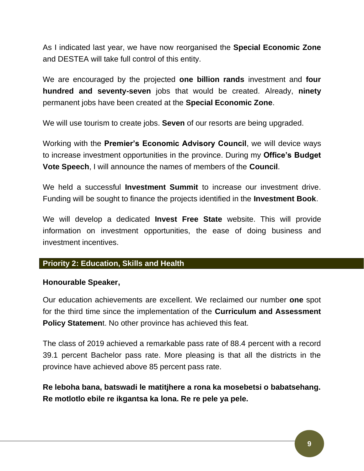As I indicated last year, we have now reorganised the **Special Economic Zone**  and DESTEA will take full control of this entity.

We are encouraged by the projected **one billion rands** investment and **four hundred and seventy-seven** jobs that would be created. Already, **ninety**  permanent jobs have been created at the **Special Economic Zone**.

We will use tourism to create jobs. **Seven** of our resorts are being upgraded.

Working with the **Premier's Economic Advisory Council**, we will device ways to increase investment opportunities in the province. During my **Office's Budget Vote Speech**, I will announce the names of members of the **Council**.

We held a successful **Investment Summit** to increase our investment drive. Funding will be sought to finance the projects identified in the **Investment Book**.

We will develop a dedicated **Invest Free State** website. This will provide information on investment opportunities, the ease of doing business and investment incentives.

# **Priority 2: Education, Skills and Health**

## **Honourable Speaker,**

Our education achievements are excellent. We reclaimed our number **one** spot for the third time since the implementation of the **Curriculum and Assessment Policy Statemen**t. No other province has achieved this feat.

The class of 2019 achieved a remarkable pass rate of 88.4 percent with a record 39.1 percent Bachelor pass rate. More pleasing is that all the districts in the province have achieved above 85 percent pass rate.

**Re leboha bana, batswadi le matitjhere a rona ka mosebetsi o babatsehang. Re motlotlo ebile re ikgantsa ka lona. Re re pele ya pele.**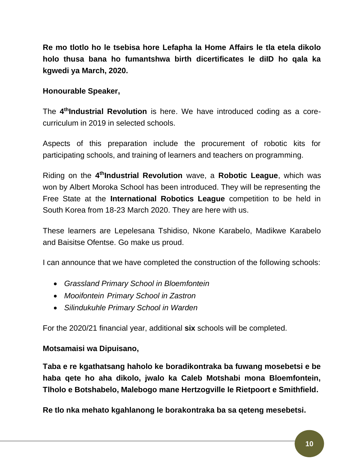**Re mo tlotlo ho le tsebisa hore Lefapha la Home Affairs le tla etela dikolo holo thusa bana ho fumantshwa birth dicertificates le diID ho qala ka kgwedi ya March, 2020.**

# **Honourable Speaker,**

The **4 thIndustrial Revolution** is here. We have introduced coding as a corecurriculum in 2019 in selected schools.

Aspects of this preparation include the procurement of robotic kits for participating schools, and training of learners and teachers on programming.

Riding on the **4 thIndustrial Revolution** wave, a **Robotic League**, which was won by Albert Moroka School has been introduced. They will be representing the Free State at the **International Robotics League** competition to be held in South Korea from 18-23 March 2020. They are here with us.

These learners are Lepelesana Tshidiso, Nkone Karabelo, Madikwe Karabelo and Baisitse Ofentse. Go make us proud.

I can announce that we have completed the construction of the following schools:

- *Grassland Primary School in Bloemfontein*
- *Mooifontein Primary School in Zastron*
- *Silindukuhle Primary School in Warden*

For the 2020/21 financial year, additional **six** schools will be completed.

# **Motsamaisi wa Dipuisano,**

**Taba e re kgathatsang haholo ke boradikontraka ba fuwang mosebetsi e be haba qete ho aha dikolo, jwalo ka Caleb Motshabi mona Bloemfontein, Tlholo e Botshabelo, Malebogo mane Hertzogville le Rietpoort e Smithfield.**

**Re tlo nka mehato kgahlanong le borakontraka ba sa qeteng mesebetsi.**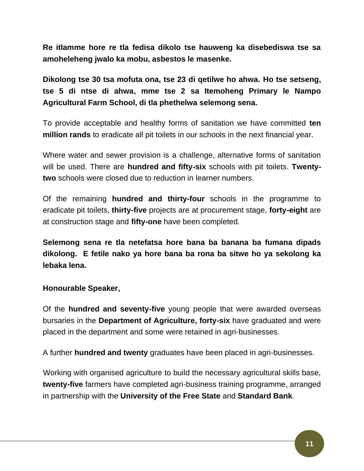**Re itlamme hore re tla fedisa dikolo tse hauweng ka disebediswa tse sa amoheleheng jwalo ka mobu, asbestos le masenke.** 

**Dikolong tse 30 tsa mofuta ona, tse 23 di qetilwe ho ahwa. Ho tse setseng, tse 5 di ntse di ahwa, mme tse 2 sa Itemoheng Primary le Nampo Agricultural Farm School, di tla phethelwa selemong sena.** 

To provide acceptable and healthy forms of sanitation we have committed **ten million rands** to eradicate all pit toilets in our schools in the next financial year.

Where water and sewer provision is a challenge, alternative forms of sanitation will be used. There are **hundred and fifty-six** schools with pit toilets. **Twentytwo** schools were closed due to reduction in learner numbers.

Of the remaining **hundred and thirty-four** schools in the programme to eradicate pit toilets, **thirty-five** projects are at procurement stage, **forty-eight** are at construction stage and **fifty-one** have been completed.

**Selemong sena re tla netefatsa hore bana ba banana ba fumana dipads dikolong. E fetile nako ya hore bana ba rona ba sitwe ho ya sekolong ka lebaka lena.** 

## **Honourable Speaker,**

Of the **hundred and seventy-five** young people that were awarded overseas bursaries in the **Department of Agriculture, forty-six** have graduated and were placed in the department and some were retained in agri-businesses.

A further **hundred and twenty** graduates have been placed in agri-businesses.

Working with organised agriculture to build the necessary agricultural skills base, **twenty-five** farmers have completed agri-business training programme, arranged in partnership with the **University of the Free State** and **Standard Bank**.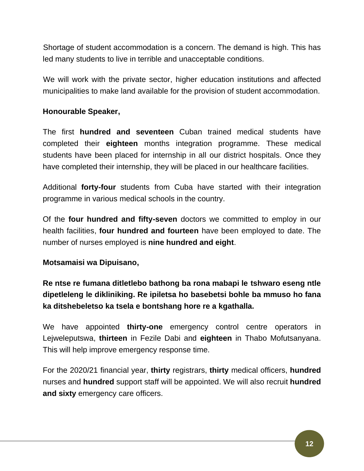Shortage of student accommodation is a concern. The demand is high. This has led many students to live in terrible and unacceptable conditions.

We will work with the private sector, higher education institutions and affected municipalities to make land available for the provision of student accommodation.

# **Honourable Speaker,**

The first **hundred and seventeen** Cuban trained medical students have completed their **eighteen** months integration programme. These medical students have been placed for internship in all our district hospitals. Once they have completed their internship, they will be placed in our healthcare facilities.

Additional **forty-four** students from Cuba have started with their integration programme in various medical schools in the country.

Of the **four hundred and fifty-seven** doctors we committed to employ in our health facilities, **four hundred and fourteen** have been employed to date. The number of nurses employed is **nine hundred and eight**.

## **Motsamaisi wa Dipuisano,**

**Re ntse re fumana ditletlebo bathong ba rona mabapi le tshwaro eseng ntle dipetleleng le dikliniking. Re ipiletsa ho basebetsi bohle ba mmuso ho fana ka ditshebeletso ka tsela e bontshang hore re a kgathalla.** 

We have appointed **thirty-one** emergency control centre operators in Lejweleputswa, **thirteen** in Fezile Dabi and **eighteen** in Thabo Mofutsanyana. This will help improve emergency response time.

For the 2020/21 financial year, **thirty** registrars, **thirty** medical officers, **hundred**  nurses and **hundred** support staff will be appointed. We will also recruit **hundred and sixty** emergency care officers.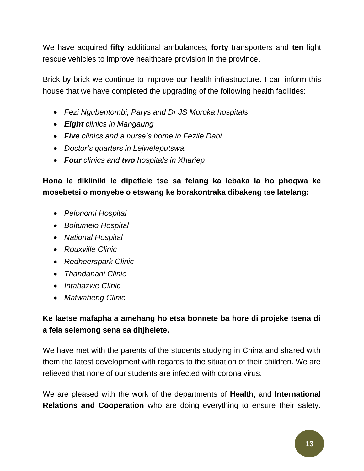We have acquired **fifty** additional ambulances, **forty** transporters and **ten** light rescue vehicles to improve healthcare provision in the province.

Brick by brick we continue to improve our health infrastructure. I can inform this house that we have completed the upgrading of the following health facilities:

- *Fezi Ngubentombi, Parys and Dr JS Moroka hospitals*
- *Eight clinics in Mangaung*
- *Five clinics and a nurse's home in Fezile Dabi*
- *Doctor's quarters in Lejweleputswa.*
- *Four clinics and two hospitals in Xhariep*

**Hona le dikliniki le dipetlele tse sa felang ka lebaka la ho phoqwa ke mosebetsi o monyebe o etswang ke borakontraka dibakeng tse latelang:**

- *Pelonomi Hospital*
- *Boitumelo Hospital*
- *National Hospital*
- *Rouxville Clinic*
- *Redheerspark Clinic*
- *Thandanani Clinic*
- *Intabazwe Clinic*
- *Matwabeng Clinic*

# **Ke laetse mafapha a amehang ho etsa bonnete ba hore di projeke tsena di a fela selemong sena sa ditjhelete.**

We have met with the parents of the students studying in China and shared with them the latest development with regards to the situation of their children. We are relieved that none of our students are infected with corona virus.

We are pleased with the work of the departments of **Health**, and **International Relations and Cooperation** who are doing everything to ensure their safety.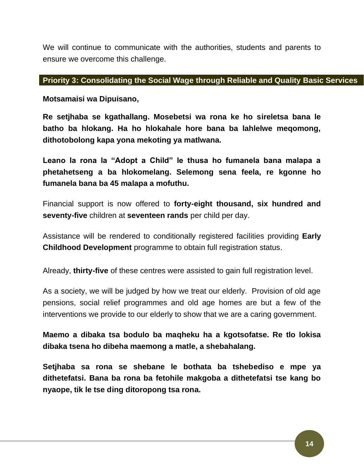We will continue to communicate with the authorities, students and parents to ensure we overcome this challenge.

#### **Priority 3: Consolidating the Social Wage through Reliable and Quality Basic Services**

**Motsamaisi wa Dipuisano,** 

**Re setjhaba se kgathallang. Mosebetsi wa rona ke ho sireletsa bana le batho ba hlokang. Ha ho hlokahale hore bana ba lahlelwe meqomong, dithotobolong kapa yona mekoting ya matlwana.** 

**Leano la rona la "Adopt a Child" le thusa ho fumanela bana malapa a phetahetseng a ba hlokomelang. Selemong sena feela, re kgonne ho fumanela bana ba 45 malapa a mofuthu.** 

Financial support is now offered to **forty-eight thousand, six hundred and seventy-five** children at **seventeen rands** per child per day.

Assistance will be rendered to conditionally registered facilities providing **Early Childhood Development** programme to obtain full registration status.

Already, **thirty-five** of these centres were assisted to gain full registration level.

As a society, we will be judged by how we treat our elderly. Provision of old age pensions, social relief programmes and old age homes are but a few of the interventions we provide to our elderly to show that we are a caring government.

**Maemo a dibaka tsa bodulo ba maqheku ha a kgotsofatse. Re tlo lokisa dibaka tsena ho dibeha maemong a matle, a shebahalang.** 

**Setjhaba sa rona se shebane le bothata ba tshebediso e mpe ya dithetefatsi. Bana ba rona ba fetohile makgoba a dithetefatsi tse kang bo nyaope, tik le tse ding ditoropong tsa rona.**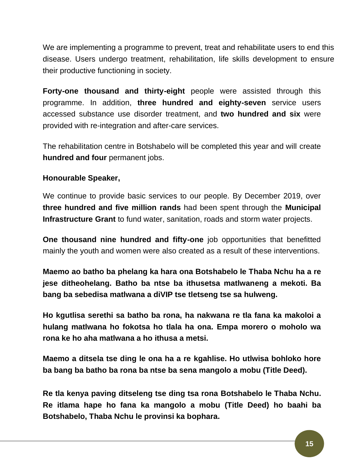We are implementing a programme to prevent, treat and rehabilitate users to end this disease. Users undergo treatment, rehabilitation, life skills development to ensure their productive functioning in society.

**Forty-one thousand and thirty-eight** people were assisted through this programme. In addition, **three hundred and eighty-seven** service users accessed substance use disorder treatment, and **two hundred and six** were provided with re-integration and after-care services.

The rehabilitation centre in Botshabelo will be completed this year and will create **hundred and four** permanent jobs.

# **Honourable Speaker,**

We continue to provide basic services to our people. By December 2019, over **three hundred and five million rands** had been spent through the **Municipal Infrastructure Grant** to fund water, sanitation, roads and storm water projects.

**One thousand nine hundred and fifty-one** job opportunities that benefitted mainly the youth and women were also created as a result of these interventions.

**Maemo ao batho ba phelang ka hara ona Botshabelo le Thaba Nchu ha a re jese ditheohelang. Batho ba ntse ba ithusetsa matlwaneng a mekoti. Ba bang ba sebedisa matlwana a diVIP tse tletseng tse sa hulweng.** 

**Ho kgutlisa serethi sa batho ba rona, ha nakwana re tla fana ka makoloi a hulang matlwana ho fokotsa ho tlala ha ona. Empa morero o moholo wa rona ke ho aha matlwana a ho ithusa a metsi.** 

**Maemo a ditsela tse ding le ona ha a re kgahlise. Ho utlwisa bohloko hore ba bang ba batho ba rona ba ntse ba sena mangolo a mobu (Title Deed).** 

**Re tla kenya paving ditseleng tse ding tsa rona Botshabelo le Thaba Nchu. Re itlama hape ho fana ka mangolo a mobu (Title Deed) ho baahi ba Botshabelo, Thaba Nchu le provinsi ka bophara.**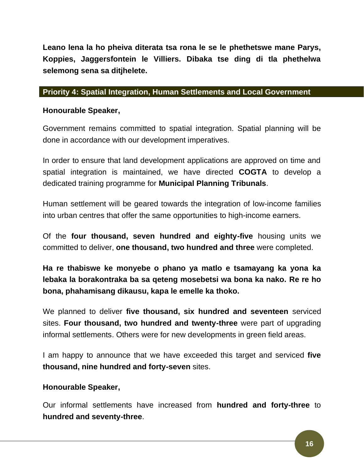**Leano lena la ho pheiva diterata tsa rona le se le phethetswe mane Parys, Koppies, Jaggersfontein le Villiers. Dibaka tse ding di tla phethelwa selemong sena sa ditjhelete.** 

# **Priority 4: Spatial Integration, Human Settlements and Local Government**

# **Honourable Speaker,**

Government remains committed to spatial integration. Spatial planning will be done in accordance with our development imperatives.

In order to ensure that land development applications are approved on time and spatial integration is maintained, we have directed **COGTA** to develop a dedicated training programme for **Municipal Planning Tribunals**.

Human settlement will be geared towards the integration of low-income families into urban centres that offer the same opportunities to high-income earners.

Of the **four thousand, seven hundred and eighty-five** housing units we committed to deliver, **one thousand, two hundred and three** were completed.

**Ha re thabiswe ke monyebe o phano ya matlo e tsamayang ka yona ka lebaka la borakontraka ba sa qeteng mosebetsi wa bona ka nako. Re re ho bona, phahamisang dikausu, kapa le emelle ka thoko.**

We planned to deliver **five thousand, six hundred and seventeen** serviced sites. **Four thousand, two hundred and twenty-three** were part of upgrading informal settlements. Others were for new developments in green field areas.

I am happy to announce that we have exceeded this target and serviced **five thousand, nine hundred and forty-seven** sites.

# **Honourable Speaker,**

Our informal settlements have increased from **hundred and forty-three** to **hundred and seventy-three**.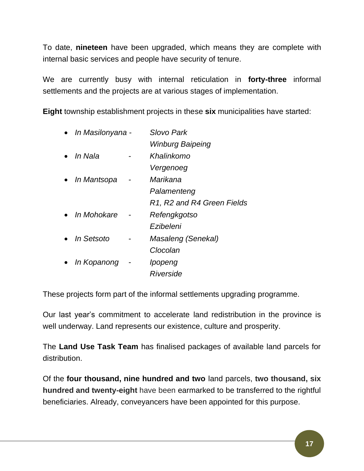To date, **nineteen** have been upgraded, which means they are complete with internal basic services and people have security of tenure.

We are currently busy with internal reticulation in **forty-three** informal settlements and the projects are at various stages of implementation.

**Eight** township establishment projects in these **six** municipalities have started:

|           | In Masilonyana -   |  | Slovo Park                 |
|-----------|--------------------|--|----------------------------|
|           |                    |  | <b>Winburg Baipeing</b>    |
|           | In Nala            |  | Khalinkomo                 |
|           |                    |  | Vergenoeg                  |
|           | <i>In Mantsopa</i> |  | Marikana                   |
|           |                    |  | Palamenteng                |
|           |                    |  | R1, R2 and R4 Green Fields |
|           | <i>In Mohokare</i> |  | Refengkgotso               |
|           |                    |  | Ezibeleni                  |
|           | • In Setsoto       |  | Masaleng (Senekal)         |
|           |                    |  | Clocolan                   |
| $\bullet$ | In Kopanong        |  | Ipopeng                    |
|           |                    |  | Riverside                  |
|           |                    |  |                            |

These projects form part of the informal settlements upgrading programme.

Our last year's commitment to accelerate land redistribution in the province is well underway. Land represents our existence, culture and prosperity.

The **Land Use Task Team** has finalised packages of available land parcels for distribution.

Of the **four thousand, nine hundred and two** land parcels, **two thousand, six hundred and twenty-eight** have been earmarked to be transferred to the rightful beneficiaries. Already, conveyancers have been appointed for this purpose.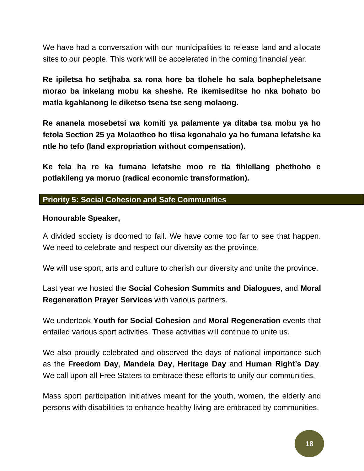We have had a conversation with our municipalities to release land and allocate sites to our people. This work will be accelerated in the coming financial year.

**Re ipiletsa ho setjhaba sa rona hore ba tlohele ho sala bophepheletsane morao ba inkelang mobu ka sheshe. Re ikemiseditse ho nka bohato bo matla kgahlanong le diketso tsena tse seng molaong.** 

**Re ananela mosebetsi wa komiti ya palamente ya ditaba tsa mobu ya ho fetola Section 25 ya Molaotheo ho tlisa kgonahalo ya ho fumana lefatshe ka ntle ho tefo (land expropriation without compensation).** 

**Ke fela ha re ka fumana lefatshe moo re tla fihlellang phethoho e potlakileng ya moruo (radical economic transformation).** 

## **Priority 5: Social Cohesion and Safe Communities**

## **Honourable Speaker,**

A divided society is doomed to fail. We have come too far to see that happen. We need to celebrate and respect our diversity as the province.

We will use sport, arts and culture to cherish our diversity and unite the province.

Last year we hosted the **Social Cohesion Summits and Dialogues**, and **Moral Regeneration Prayer Services** with various partners.

We undertook **Youth for Social Cohesion** and **Moral Regeneration** events that entailed various sport activities. These activities will continue to unite us.

We also proudly celebrated and observed the days of national importance such as the **Freedom Day**, **Mandela Day**, **Heritage Day** and **Human Right's Day**. We call upon all Free Staters to embrace these efforts to unify our communities.

Mass sport participation initiatives meant for the youth, women, the elderly and persons with disabilities to enhance healthy living are embraced by communities.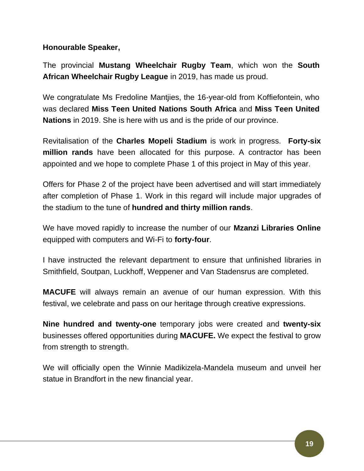# **Honourable Speaker,**

The provincial **Mustang Wheelchair Rugby Team**, which won the **South African Wheelchair Rugby League** in 2019, has made us proud.

We congratulate Ms Fredoline Mantjies, the 16-year-old from Koffiefontein, who was declared **Miss Teen United Nations South Africa** and **Miss Teen United Nations** in 2019. She is here with us and is the pride of our province.

Revitalisation of the **Charles Mopeli Stadium** is work in progress. **Forty-six million rands** have been allocated for this purpose. A contractor has been appointed and we hope to complete Phase 1 of this project in May of this year.

Offers for Phase 2 of the project have been advertised and will start immediately after completion of Phase 1. Work in this regard will include major upgrades of the stadium to the tune of **hundred and thirty million rands**.

We have moved rapidly to increase the number of our **Mzanzi Libraries Online** equipped with computers and Wi-Fi to **forty-four**.

I have instructed the relevant department to ensure that unfinished libraries in Smithfield, Soutpan, Luckhoff, Weppener and Van Stadensrus are completed.

**MACUFE** will always remain an avenue of our human expression. With this festival, we celebrate and pass on our heritage through creative expressions.

**Nine hundred and twenty-one** temporary jobs were created and **twenty-six** businesses offered opportunities during **MACUFE.** We expect the festival to grow from strength to strength.

We will officially open the Winnie Madikizela-Mandela museum and unveil her statue in Brandfort in the new financial year.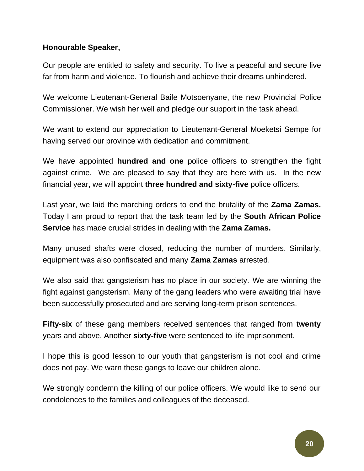# **Honourable Speaker,**

Our people are entitled to safety and security. To live a peaceful and secure live far from harm and violence. To flourish and achieve their dreams unhindered.

We welcome Lieutenant-General Baile Motsoenyane, the new Provincial Police Commissioner. We wish her well and pledge our support in the task ahead.

We want to extend our appreciation to Lieutenant-General Moeketsi Sempe for having served our province with dedication and commitment.

We have appointed **hundred and one** police officers to strengthen the fight against crime. We are pleased to say that they are here with us. In the new financial year, we will appoint **three hundred and sixty-five** police officers.

Last year, we laid the marching orders to end the brutality of the **Zama Zamas.**  Today I am proud to report that the task team led by the **South African Police Service** has made crucial strides in dealing with the **Zama Zamas.**

Many unused shafts were closed, reducing the number of murders. Similarly, equipment was also confiscated and many **Zama Zamas** arrested.

We also said that gangsterism has no place in our society. We are winning the fight against gangsterism. Many of the gang leaders who were awaiting trial have been successfully prosecuted and are serving long-term prison sentences.

**Fifty-six** of these gang members received sentences that ranged from **twenty** years and above. Another **sixty-five** were sentenced to life imprisonment.

I hope this is good lesson to our youth that gangsterism is not cool and crime does not pay. We warn these gangs to leave our children alone.

We strongly condemn the killing of our police officers. We would like to send our condolences to the families and colleagues of the deceased.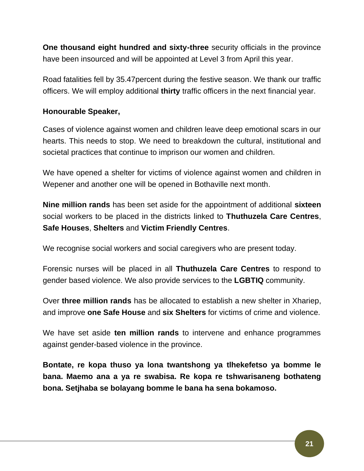**One thousand eight hundred and sixty-three** security officials in the province have been insourced and will be appointed at Level 3 from April this year.

Road fatalities fell by 35.47percent during the festive season. We thank our traffic officers. We will employ additional **thirty** traffic officers in the next financial year.

# **Honourable Speaker,**

Cases of violence against women and children leave deep emotional scars in our hearts. This needs to stop. We need to breakdown the cultural, institutional and societal practices that continue to imprison our women and children.

We have opened a shelter for victims of violence against women and children in Wepener and another one will be opened in Bothaville next month.

**Nine million rands** has been set aside for the appointment of additional **sixteen**  social workers to be placed in the districts linked to **Thuthuzela Care Centres**, **Safe Houses**, **Shelters** and **Victim Friendly Centres**.

We recognise social workers and social caregivers who are present today.

Forensic nurses will be placed in all **Thuthuzela Care Centres** to respond to gender based violence. We also provide services to the **LGBTIQ** community.

Over **three million rands** has be allocated to establish a new shelter in Xhariep, and improve **one Safe House** and **six Shelters** for victims of crime and violence.

We have set aside **ten million rands** to intervene and enhance programmes against gender-based violence in the province.

**Bontate, re kopa thuso ya lona twantshong ya tlhekefetso ya bomme le bana. Maemo ana a ya re swabisa. Re kopa re tshwarisaneng bothateng bona. Setjhaba se bolayang bomme le bana ha sena bokamoso.**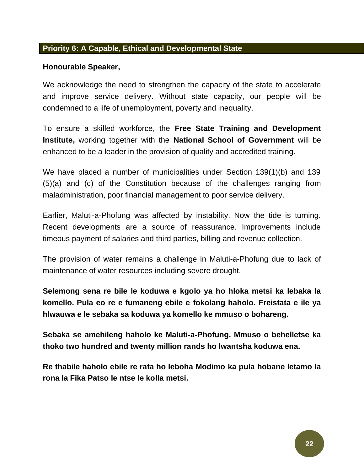#### **Priority 6: A Capable, Ethical and Developmental State**

#### **Honourable Speaker,**

We acknowledge the need to strengthen the capacity of the state to accelerate and improve service delivery. Without state capacity, our people will be condemned to a life of unemployment, poverty and inequality.

To ensure a skilled workforce, the **Free State Training and Development Institute,** working together with the **National School of Government** will be enhanced to be a leader in the provision of quality and accredited training.

We have placed a number of municipalities under Section 139(1)(b) and 139 (5)(a) and (c) of the Constitution because of the challenges ranging from maladministration, poor financial management to poor service delivery.

Earlier, Maluti-a-Phofung was affected by instability. Now the tide is turning. Recent developments are a source of reassurance. Improvements include timeous payment of salaries and third parties, billing and revenue collection.

The provision of water remains a challenge in Maluti-a-Phofung due to lack of maintenance of water resources including severe drought.

**Selemong sena re bile le koduwa e kgolo ya ho hloka metsi ka lebaka la komello. Pula eo re e fumaneng ebile e fokolang haholo. Freistata e ile ya hlwauwa e le sebaka sa koduwa ya komello ke mmuso o bohareng.**

**Sebaka se amehileng haholo ke Maluti-a-Phofung. Mmuso o behelletse ka thoko two hundred and twenty million rands ho lwantsha koduwa ena.** 

**Re thabile haholo ebile re rata ho leboha Modimo ka pula hobane letamo la rona la Fika Patso le ntse le kolla metsi.**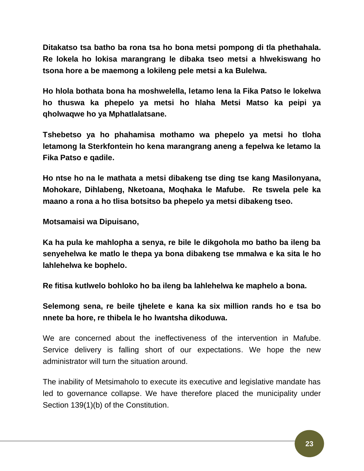**Ditakatso tsa batho ba rona tsa ho bona metsi pompong di tla phethahala. Re lokela ho lokisa marangrang le dibaka tseo metsi a hlwekiswang ho tsona hore a be maemong a lokileng pele metsi a ka Bulelwa.**

**Ho hlola bothata bona ha moshwelella, letamo lena la Fika Patso le lokelwa ho thuswa ka phepelo ya metsi ho hlaha Metsi Matso ka peipi ya qholwaqwe ho ya Mphatlalatsane.**

**Tshebetso ya ho phahamisa mothamo wa phepelo ya metsi ho tloha letamong la Sterkfontein ho kena marangrang aneng a fepelwa ke letamo la Fika Patso e qadile.** 

**Ho ntse ho na le mathata a metsi dibakeng tse ding tse kang Masilonyana, Mohokare, Dihlabeng, Nketoana, Moqhaka le Mafube. Re tswela pele ka maano a rona a ho tlisa botsitso ba phepelo ya metsi dibakeng tseo.** 

**Motsamaisi wa Dipuisano,**

**Ka ha pula ke mahlopha a senya, re bile le dikgohola mo batho ba ileng ba senyehelwa ke matlo le thepa ya bona dibakeng tse mmalwa e ka sita le ho lahlehelwa ke bophelo.** 

**Re fitisa kutlwelo bohloko ho ba ileng ba lahlehelwa ke maphelo a bona.** 

**Selemong sena, re beile tjhelete e kana ka six million rands ho e tsa bo nnete ba hore, re thibela le ho lwantsha dikoduwa.** 

We are concerned about the ineffectiveness of the intervention in Mafube. Service delivery is falling short of our expectations. We hope the new administrator will turn the situation around.

The inability of Metsimaholo to execute its executive and legislative mandate has led to governance collapse. We have therefore placed the municipality under Section 139(1)(b) of the Constitution.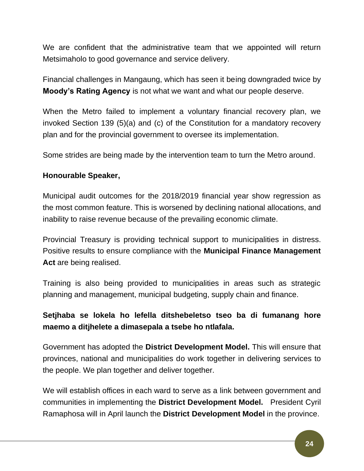We are confident that the administrative team that we appointed will return Metsimaholo to good governance and service delivery.

Financial challenges in Mangaung, which has seen it being downgraded twice by **Moody's Rating Agency** is not what we want and what our people deserve.

When the Metro failed to implement a voluntary financial recovery plan, we invoked Section 139 (5)(a) and (c) of the Constitution for a mandatory recovery plan and for the provincial government to oversee its implementation.

Some strides are being made by the intervention team to turn the Metro around.

# **Honourable Speaker,**

Municipal audit outcomes for the 2018/2019 financial year show regression as the most common feature. This is worsened by declining national allocations, and inability to raise revenue because of the prevailing economic climate.

Provincial Treasury is providing technical support to municipalities in distress. Positive results to ensure compliance with the **Municipal Finance Management Act** are being realised.

Training is also being provided to municipalities in areas such as strategic planning and management, municipal budgeting, supply chain and finance.

# **Setjhaba se lokela ho lefella ditshebeletso tseo ba di fumanang hore maemo a ditjhelete a dimasepala a tsebe ho ntlafala.**

Government has adopted the **District Development Model.** This will ensure that provinces, national and municipalities do work together in delivering services to the people. We plan together and deliver together.

We will establish offices in each ward to serve as a link between government and communities in implementing the **District Development Model.** President Cyril Ramaphosa will in April launch the **District Development Model** in the province.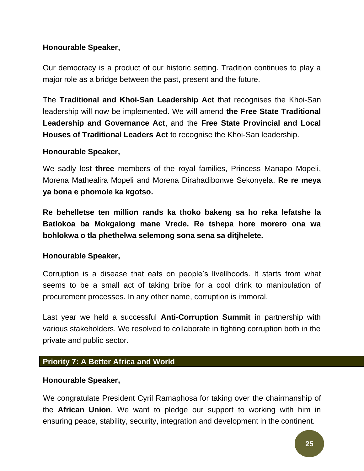# **Honourable Speaker,**

Our democracy is a product of our historic setting. Tradition continues to play a major role as a bridge between the past, present and the future.

The **Traditional and Khoi-San Leadership Act** that recognises the Khoi-San leadership will now be implemented. We will amend **the Free State Traditional Leadership and Governance Act**, and the **Free State Provincial and Local Houses of Traditional Leaders Act** to recognise the Khoi-San leadership.

## **Honourable Speaker,**

We sadly lost **three** members of the royal families, Princess Manapo Mopeli, Morena Mathealira Mopeli and Morena Dirahadibonwe Sekonyela. **Re re meya ya bona e phomole ka kgotso.** 

**Re behelletse ten million rands ka thoko bakeng sa ho reka lefatshe la Batlokoa ba Mokgalong mane Vrede. Re tshepa hore morero ona wa bohlokwa o tla phethelwa selemong sona sena sa ditjhelete.** 

## **Honourable Speaker,**

Corruption is a disease that eats on people's livelihoods. It starts from what seems to be a small act of taking bribe for a cool drink to manipulation of procurement processes. In any other name, corruption is immoral.

Last year we held a successful **Anti-Corruption Summit** in partnership with various stakeholders. We resolved to collaborate in fighting corruption both in the private and public sector.

## **Priority 7: A Better Africa and World**

## **Honourable Speaker,**

We congratulate President Cyril Ramaphosa for taking over the chairmanship of the **African Union**. We want to pledge our support to working with him in ensuring peace, stability, security, integration and development in the continent.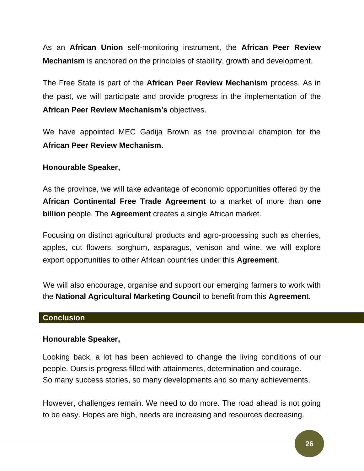As an **African Union** self-monitoring instrument, the **African Peer Review Mechanism** is anchored on the principles of stability, growth and development.

The Free State is part of the **African Peer Review Mechanism** process. As in the past, we will participate and provide progress in the implementation of the **African Peer Review Mechanism's** objectives.

We have appointed MEC Gadija Brown as the provincial champion for the **African Peer Review Mechanism.**

## **Honourable Speaker,**

As the province, we will take advantage of economic opportunities offered by the **African Continental Free Trade Agreement** to a market of more than **one billion** people. The **Agreement** creates a single African market.

Focusing on distinct agricultural products and agro-processing such as cherries, apples, cut flowers, sorghum, asparagus, venison and wine, we will explore export opportunities to other African countries under this **Agreement**.

We will also encourage, organise and support our emerging farmers to work with the **National Agricultural Marketing Council** to benefit from this **Agreemen**t.

## **Conclusion**

## **Honourable Speaker,**

Looking back, a lot has been achieved to change the living conditions of our people. Ours is progress filled with attainments, determination and courage. So many success stories, so many developments and so many achievements.

However, challenges remain. We need to do more. The road ahead is not going to be easy. Hopes are high, needs are increasing and resources decreasing.